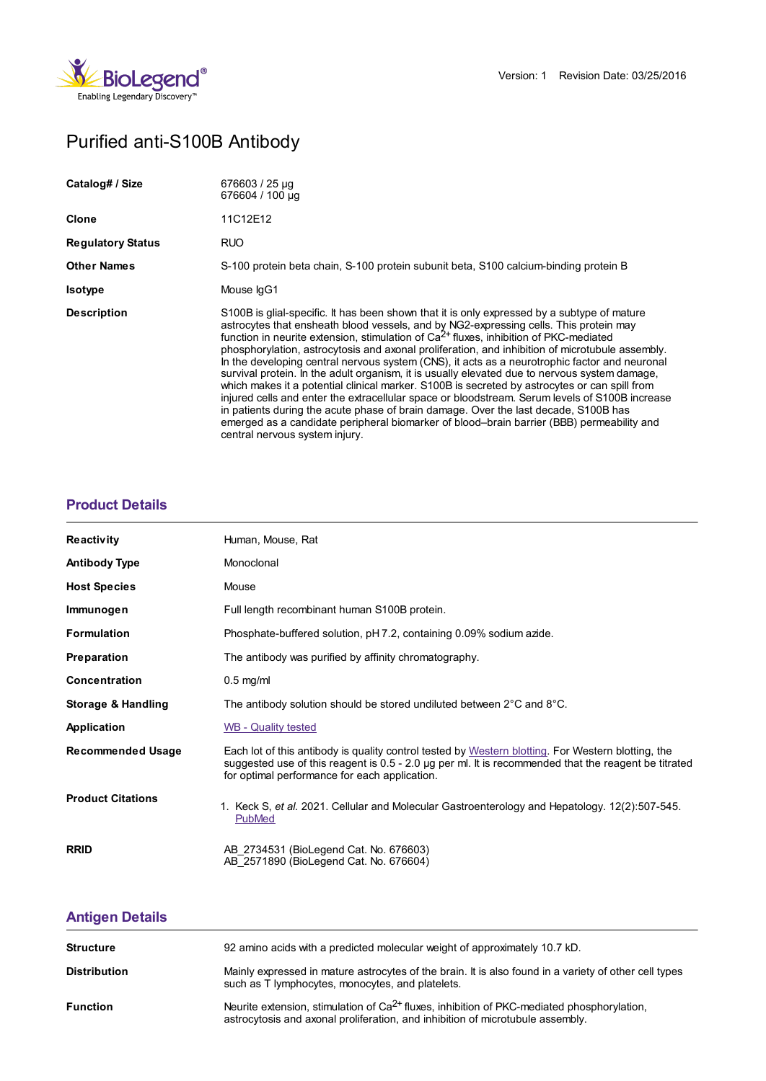

# Purified anti-S100B Antibody

| Catalog# / Size          | 676603 / 25 µg<br>676604 / 100 µg                                                                                                                                                                                                                                                                                                                                                                                                                                                                                                                                                                                                                                                                                                                                                                                                                                                                                                                                                                             |
|--------------------------|---------------------------------------------------------------------------------------------------------------------------------------------------------------------------------------------------------------------------------------------------------------------------------------------------------------------------------------------------------------------------------------------------------------------------------------------------------------------------------------------------------------------------------------------------------------------------------------------------------------------------------------------------------------------------------------------------------------------------------------------------------------------------------------------------------------------------------------------------------------------------------------------------------------------------------------------------------------------------------------------------------------|
| <b>Clone</b>             | 11C12E12                                                                                                                                                                                                                                                                                                                                                                                                                                                                                                                                                                                                                                                                                                                                                                                                                                                                                                                                                                                                      |
| <b>Regulatory Status</b> | <b>RUO</b>                                                                                                                                                                                                                                                                                                                                                                                                                                                                                                                                                                                                                                                                                                                                                                                                                                                                                                                                                                                                    |
| <b>Other Names</b>       | S-100 protein beta chain, S-100 protein subunit beta, S100 calcium-binding protein B                                                                                                                                                                                                                                                                                                                                                                                                                                                                                                                                                                                                                                                                                                                                                                                                                                                                                                                          |
| <b>Isotype</b>           | Mouse IgG1                                                                                                                                                                                                                                                                                                                                                                                                                                                                                                                                                                                                                                                                                                                                                                                                                                                                                                                                                                                                    |
| <b>Description</b>       | S100B is glial-specific. It has been shown that it is only expressed by a subtype of mature<br>astrocytes that ensheath blood vessels, and by NG2-expressing cells. This protein may<br>function in neurite extension, stimulation of $Ca2+$ fluxes, inhibition of PKC-mediated<br>phosphorylation, astrocytosis and axonal proliferation, and inhibition of microtubule assembly.<br>In the developing central nervous system (CNS), it acts as a neurotrophic factor and neuronal<br>survival protein. In the adult organism, it is usually elevated due to nervous system damage,<br>which makes it a potential clinical marker. S100B is secreted by astrocytes or can spill from<br>injured cells and enter the extracellular space or bloodstream. Serum levels of S100B increase<br>in patients during the acute phase of brain damage. Over the last decade, S100B has<br>emerged as a candidate peripheral biomarker of blood-brain barrier (BBB) permeability and<br>central nervous system injury. |

## **[Product](https://www.biolegend.com/en-us/search-results/purified-anti-s100b-antibody-11846?pdf=true&displayInline=true&leftRightMargin=15&topBottomMargin=15&filename=Purified anti-S100B Antibody.pdf#productDetails) Details**

| <b>Reactivity</b>        | Human, Mouse, Rat                                                                                                                                                                                                                                           |
|--------------------------|-------------------------------------------------------------------------------------------------------------------------------------------------------------------------------------------------------------------------------------------------------------|
| <b>Antibody Type</b>     | Monoclonal                                                                                                                                                                                                                                                  |
| <b>Host Species</b>      | Mouse                                                                                                                                                                                                                                                       |
| Immunogen                | Full length recombinant human S100B protein.                                                                                                                                                                                                                |
| <b>Formulation</b>       | Phosphate-buffered solution, pH 7.2, containing 0.09% sodium azide.                                                                                                                                                                                         |
| <b>Preparation</b>       | The antibody was purified by affinity chromatography.                                                                                                                                                                                                       |
| Concentration            | $0.5$ mg/ml                                                                                                                                                                                                                                                 |
| Storage & Handling       | The antibody solution should be stored undiluted between $2^{\circ}$ C and $8^{\circ}$ C.                                                                                                                                                                   |
| Application              | <b>WB - Quality tested</b>                                                                                                                                                                                                                                  |
| <b>Recommended Usage</b> | Each lot of this antibody is quality control tested by Western blotting. For Western blotting, the<br>suggested use of this reagent is 0.5 - 2.0 µg per ml. It is recommended that the reagent be titrated<br>for optimal performance for each application. |
| <b>Product Citations</b> | 1. Keck S, et al. 2021. Cellular and Molecular Gastroenterology and Hepatology. 12(2):507-545.<br>PubMed                                                                                                                                                    |
| <b>RRID</b>              | AB 2734531 (BioLegend Cat. No. 676603)<br>AB 2571890 (BioLegend Cat. No. 676604)                                                                                                                                                                            |

# **[Antigen](https://www.biolegend.com/en-us/search-results/purified-anti-s100b-antibody-11846?pdf=true&displayInline=true&leftRightMargin=15&topBottomMargin=15&filename=Purified anti-S100B Antibody.pdf#antigenDetails) Details**

| <b>Structure</b>    | 92 amino acids with a predicted molecular weight of approximately 10.7 kD.                                                                                                        |
|---------------------|-----------------------------------------------------------------------------------------------------------------------------------------------------------------------------------|
| <b>Distribution</b> | Mainly expressed in mature astrocytes of the brain. It is also found in a variety of other cell types<br>such as T lymphocytes, monocytes, and platelets.                         |
| <b>Function</b>     | Neurite extension, stimulation of $Ca^{2+}$ fluxes, inhibition of PKC-mediated phosphorylation,<br>astrocytosis and axonal proliferation, and inhibition of microtubule assembly. |